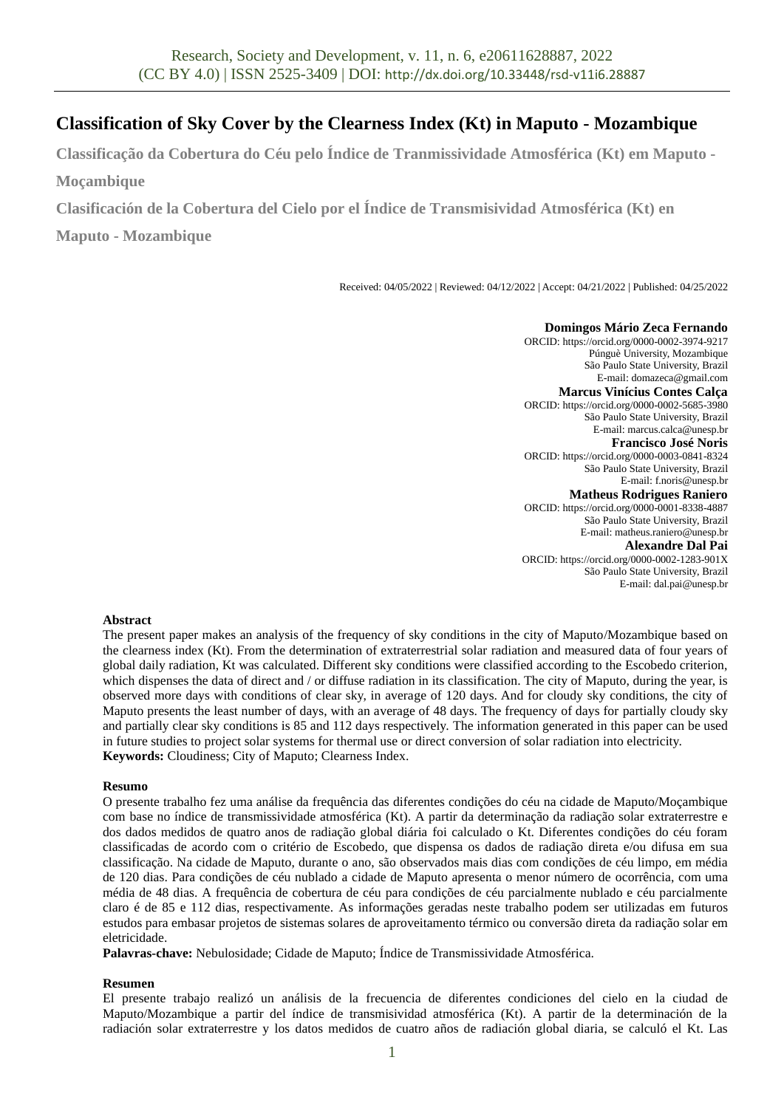# **Classification of Sky Cover by the Clearness Index (Kt) in Maputo - Mozambique**

**Classificação da Cobertura do Céu pelo Índice de Tranmissividade Atmosférica (Kt) em Maputo - Moçambique**

**Clasificación de la Cobertura del Cielo por el Índice de Transmisividad Atmosférica (Kt) en** 

**Maputo - Mozambique**

Received: 04/05/2022 | Reviewed: 04/12/2022 | Accept: 04/21/2022 | Published: 04/25/2022

**Domingos Mário Zeca Fernando** ORCID: https://orcid.org/0000-0002-3974-9217 Púnguè University, Mozambique São Paulo State University, Brazil E-mail: domazeca@gmail.com **Marcus Vinícius Contes Calça** ORCID: https://orcid.org/0000-0002-5685-3980 São Paulo State University, Brazil E-mail: marcus.calca@unesp.br **Francisco José Noris** ORCID: https://orcid.org/0000-0003-0841-8324 São Paulo State University, Brazil E-mail: f.noris@unesp.br **Matheus Rodrigues Raniero** ORCID: https://orcid.org/0000-0001-8338-4887 São Paulo State University, Brazil E-mail: matheus.raniero@unesp.br

**Alexandre Dal Pai** ORCID: https://orcid.org/0000-0002-1283-901X São Paulo State University, Brazil E-mail: dal.pai@unesp.br

### **Abstract**

The present paper makes an analysis of the frequency of sky conditions in the city of Maputo/Mozambique based on the clearness index (Kt). From the determination of extraterrestrial solar radiation and measured data of four years of global daily radiation, Kt was calculated. Different sky conditions were classified according to the Escobedo criterion, which dispenses the data of direct and / or diffuse radiation in its classification. The city of Maputo, during the year, is observed more days with conditions of clear sky, in average of 120 days. And for cloudy sky conditions, the city of Maputo presents the least number of days, with an average of 48 days. The frequency of days for partially cloudy sky and partially clear sky conditions is 85 and 112 days respectively. The information generated in this paper can be used in future studies to project solar systems for thermal use or direct conversion of solar radiation into electricity. **Keywords:** Cloudiness; City of Maputo; Clearness Index.

## **Resumo**

O presente trabalho fez uma análise da frequência das diferentes condições do céu na cidade de Maputo/Moçambique com base no índice de transmissividade atmosférica (Kt). A partir da determinação da radiação solar extraterrestre e dos dados medidos de quatro anos de radiação global diária foi calculado o Kt. Diferentes condições do céu foram classificadas de acordo com o critério de Escobedo, que dispensa os dados de radiação direta e/ou difusa em sua classificação. Na cidade de Maputo, durante o ano, são observados mais dias com condições de céu limpo, em média de 120 dias. Para condições de céu nublado a cidade de Maputo apresenta o menor número de ocorrência, com uma média de 48 dias. A frequência de cobertura de céu para condições de céu parcialmente nublado e céu parcialmente claro é de 85 e 112 dias, respectivamente. As informações geradas neste trabalho podem ser utilizadas em futuros estudos para embasar projetos de sistemas solares de aproveitamento térmico ou conversão direta da radiação solar em eletricidade.

**Palavras-chave:** Nebulosidade; Cidade de Maputo; Índice de Transmissividade Atmosférica.

### **Resumen**

El presente trabajo realizó un análisis de la frecuencia de diferentes condiciones del cielo en la ciudad de Maputo/Mozambique a partir del índice de transmisividad atmosférica (Kt). A partir de la determinación de la radiación solar extraterrestre y los datos medidos de cuatro años de radiación global diaria, se calculó el Kt. Las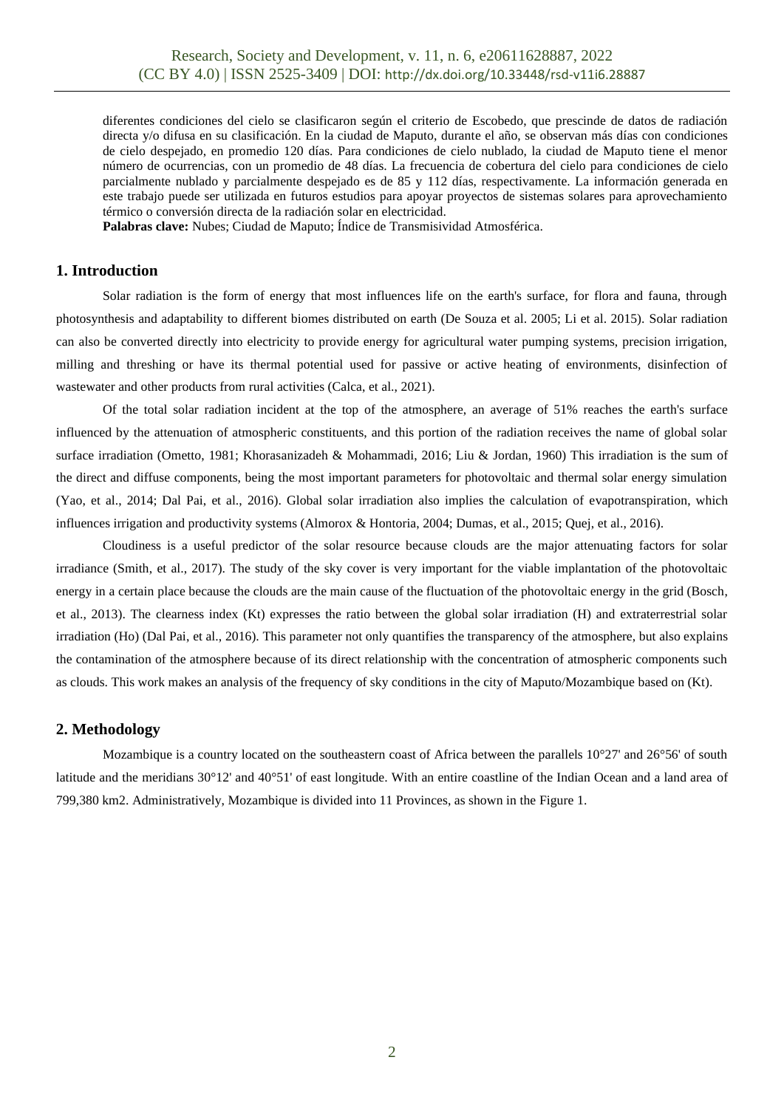diferentes condiciones del cielo se clasificaron según el criterio de Escobedo, que prescinde de datos de radiación directa y/o difusa en su clasificación. En la ciudad de Maputo, durante el año, se observan más días con condiciones de cielo despejado, en promedio 120 días. Para condiciones de cielo nublado, la ciudad de Maputo tiene el menor número de ocurrencias, con un promedio de 48 días. La frecuencia de cobertura del cielo para condiciones de cielo parcialmente nublado y parcialmente despejado es de 85 y 112 días, respectivamente. La información generada en este trabajo puede ser utilizada en futuros estudios para apoyar proyectos de sistemas solares para aprovechamiento térmico o conversión directa de la radiación solar en electricidad.

**Palabras clave:** Nubes; Ciudad de Maputo; Índice de Transmisividad Atmosférica.

# **1. Introduction**

Solar radiation is the form of energy that most influences life on the earth's surface, for flora and fauna, through photosynthesis and adaptability to different biomes distributed on earth (De Souza et al. 2005; Li et al. 2015). Solar radiation can also be converted directly into electricity to provide energy for agricultural water pumping systems, precision irrigation, milling and threshing or have its thermal potential used for passive or active heating of environments, disinfection of wastewater and other products from rural activities (Calca, et al., 2021).

Of the total solar radiation incident at the top of the atmosphere, an average of 51% reaches the earth's surface influenced by the attenuation of atmospheric constituents, and this portion of the radiation receives the name of global solar surface irradiation (Ometto, 1981; Khorasanizadeh & Mohammadi, 2016; Liu & Jordan, 1960) This irradiation is the sum of the direct and diffuse components, being the most important parameters for photovoltaic and thermal solar energy simulation (Yao, et al., 2014; Dal Pai, et al., 2016). Global solar irradiation also implies the calculation of evapotranspiration, which influences irrigation and productivity systems (Almorox & Hontoria, 2004; Dumas, et al., 2015; Quej, et al., 2016).

Cloudiness is a useful predictor of the solar resource because clouds are the major attenuating factors for solar irradiance (Smith, et al., 2017). The study of the sky cover is very important for the viable implantation of the photovoltaic energy in a certain place because the clouds are the main cause of the fluctuation of the photovoltaic energy in the grid (Bosch, et al., 2013). The clearness index (Kt) expresses the ratio between the global solar irradiation (H) and extraterrestrial solar irradiation (Ho) (Dal Pai, et al., 2016). This parameter not only quantifies the transparency of the atmosphere, but also explains the contamination of the atmosphere because of its direct relationship with the concentration of atmospheric components such as clouds. This work makes an analysis of the frequency of sky conditions in the city of Maputo/Mozambique based on (Kt).

### **2. Methodology**

Mozambique is a country located on the southeastern coast of Africa between the parallels 10°27' and 26°56' of south latitude and the meridians 30°12' and 40°51' of east longitude. With an entire coastline of the Indian Ocean and a land area of 799,380 km2. Administratively, Mozambique is divided into 11 Provinces, as shown in the Figure 1.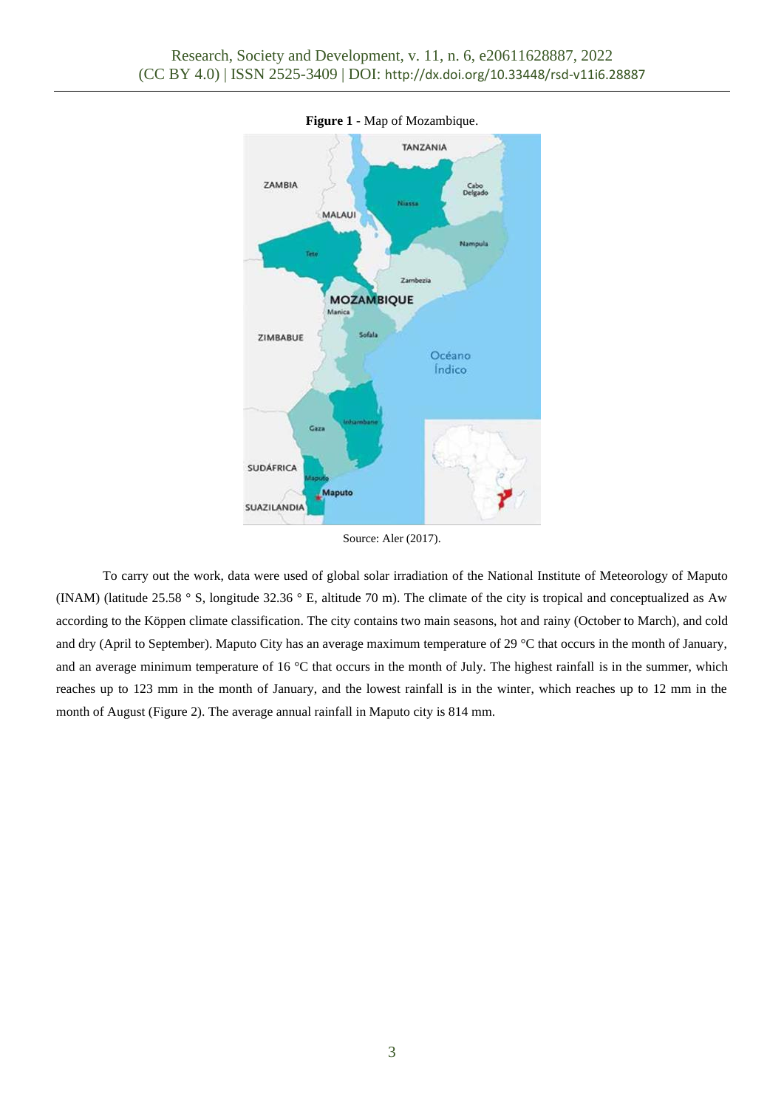

**Figure 1** - Map of Mozambique.

Source: Aler (2017).

To carry out the work, data were used of global solar irradiation of the National Institute of Meteorology of Maputo (INAM) (latitude 25.58 ° S, longitude 32.36 ° E, altitude 70 m). The climate of the city is tropical and conceptualized as Aw according to the Köppen climate classification. The city contains two main seasons, hot and rainy (October to March), and cold and dry (April to September). Maputo City has an average maximum temperature of 29 °C that occurs in the month of January, and an average minimum temperature of 16 °C that occurs in the month of July. The highest rainfall is in the summer, which reaches up to 123 mm in the month of January, and the lowest rainfall is in the winter, which reaches up to 12 mm in the month of August (Figure 2). The average annual rainfall in Maputo city is 814 mm.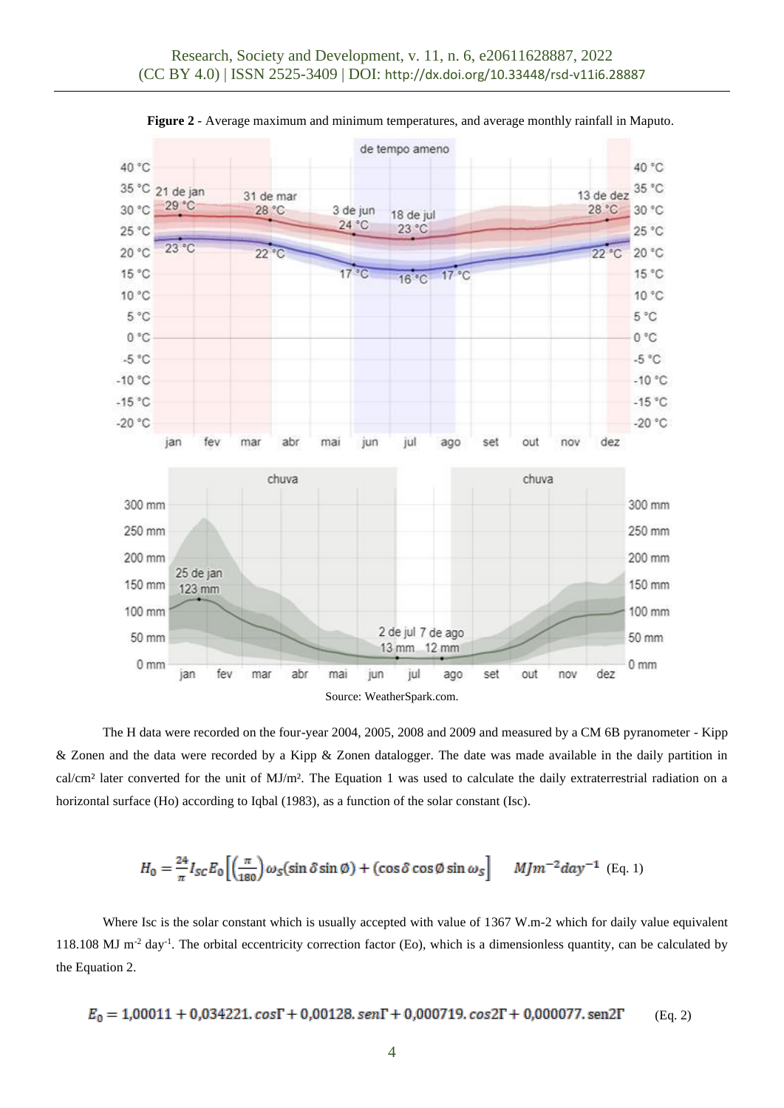

**Figure 2** - Average maximum and minimum temperatures, and average monthly rainfall in Maputo.

The H data were recorded on the four-year 2004, 2005, 2008 and 2009 and measured by a CM 6B pyranometer - Kipp & Zonen and the data were recorded by a Kipp & Zonen datalogger. The date was made available in the daily partition in cal/cm<sup>2</sup> later converted for the unit of MJ/m<sup>2</sup>. The Equation 1 was used to calculate the daily extraterrestrial radiation on a horizontal surface (Ho) according to Iqbal (1983), as a function of the solar constant (Isc).

$$
H_0 = \frac{24}{\pi} I_{SC} E_0 \left[ \left( \frac{\pi}{180} \right) \omega_S (\sin \delta \sin \phi) + (\cos \delta \cos \phi \sin \omega_S \right] \quad M J m^{-2} d a y^{-1} \text{ (Eq. 1)}
$$

Where Isc is the solar constant which is usually accepted with value of 1367 W.m-2 which for daily value equivalent 118.108 MJ m<sup>-2</sup> day<sup>-1</sup>. The orbital eccentricity correction factor (Eo), which is a dimensionless quantity, can be calculated by the Equation 2.

$$
E_0 = 1{,}00011+0{,}034221{,} \cos\Gamma + 0{,}00128{,} \sin\Gamma + 0{,}000719{,} \cos2\Gamma + 0{,}000077{,} \sin2\Gamma \qquad \text{(Eq. 2)}
$$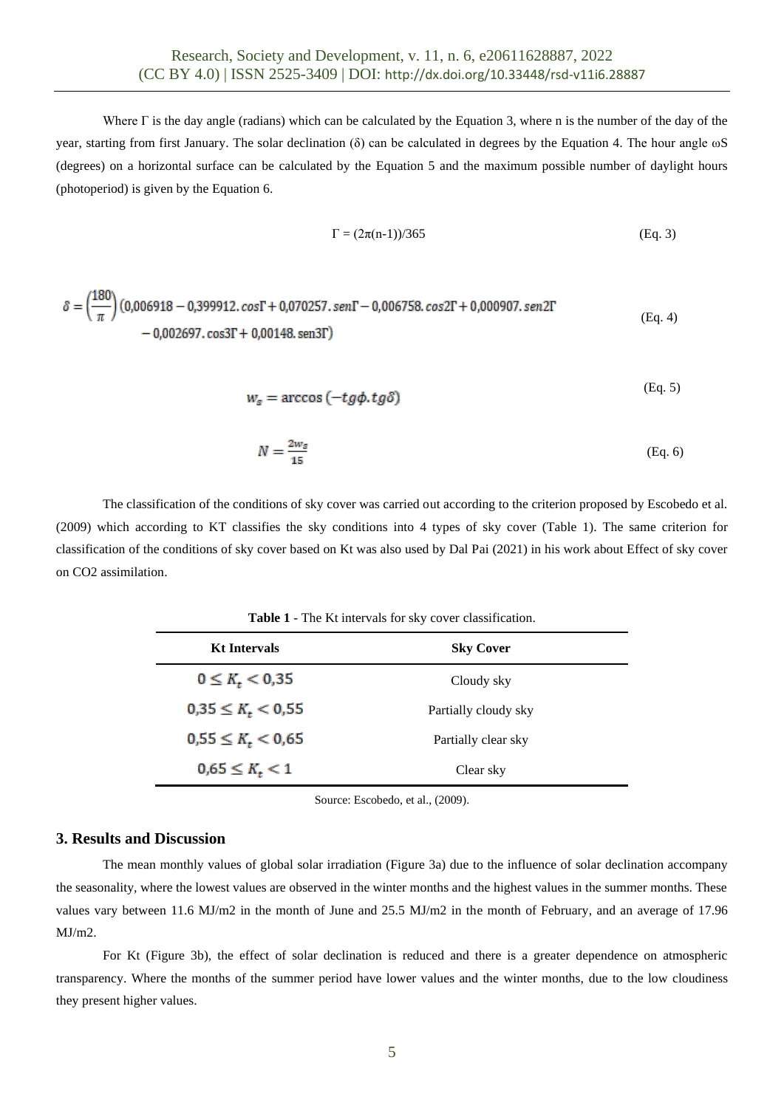Where  $\Gamma$  is the day angle (radians) which can be calculated by the Equation 3, where n is the number of the day of the year, starting from first January. The solar declination (δ) can be calculated in degrees by the Equation 4. The hour angle ωS (degrees) on a horizontal surface can be calculated by the Equation 5 and the maximum possible number of daylight hours (photoperiod) is given by the Equation 6.

$$
\Gamma = (2\pi(n-1))/365
$$
 (Eq. 3)

$$
\delta = \left(\frac{180}{\pi}\right) (0,006918 - 0,399912.\cos\Gamma + 0,070257.\sin\Gamma - 0,006758.\cos 2\Gamma + 0,000907.\sin 2\Gamma - 0,002697.\cos 3\Gamma + 0,00148.\sin 3\Gamma)
$$
\n(Eq. 4)

$$
w_s = \arccos(-tg\phi, tg\delta) \tag{Eq. 5}
$$

$$
N = \frac{2w_{\mathcal{S}}}{15} \tag{Eq. 6}
$$

The classification of the conditions of sky cover was carried out according to the criterion proposed by Escobedo et al. (2009) which according to KT classifies the sky conditions into 4 types of sky cover (Table 1). The same criterion for classification of the conditions of sky cover based on Kt was also used by Dal Pai (2021) in his work about Effect of sky cover on CO2 assimilation.

**Table 1** - The Kt intervals for sky cover classification.

| <b>Kt Intervals</b>          | <b>Sky Cover</b>     |
|------------------------------|----------------------|
| $0 \leq K_t < 0.35$          | Cloudy sky           |
| $0,35 \leq K_t < 0,55$       | Partially cloudy sky |
| $0,55 \leq K_{\star} < 0,65$ | Partially clear sky  |
| $0.65 \leq K_t < 1$          | Clear sky            |

Source: Escobedo, et al., (2009).

### **3. Results and Discussion**

The mean monthly values of global solar irradiation (Figure 3a) due to the influence of solar declination accompany the seasonality, where the lowest values are observed in the winter months and the highest values in the summer months. These values vary between 11.6 MJ/m2 in the month of June and 25.5 MJ/m2 in the month of February, and an average of 17.96 MJ/m2.

For Kt (Figure 3b), the effect of solar declination is reduced and there is a greater dependence on atmospheric transparency. Where the months of the summer period have lower values and the winter months, due to the low cloudiness they present higher values.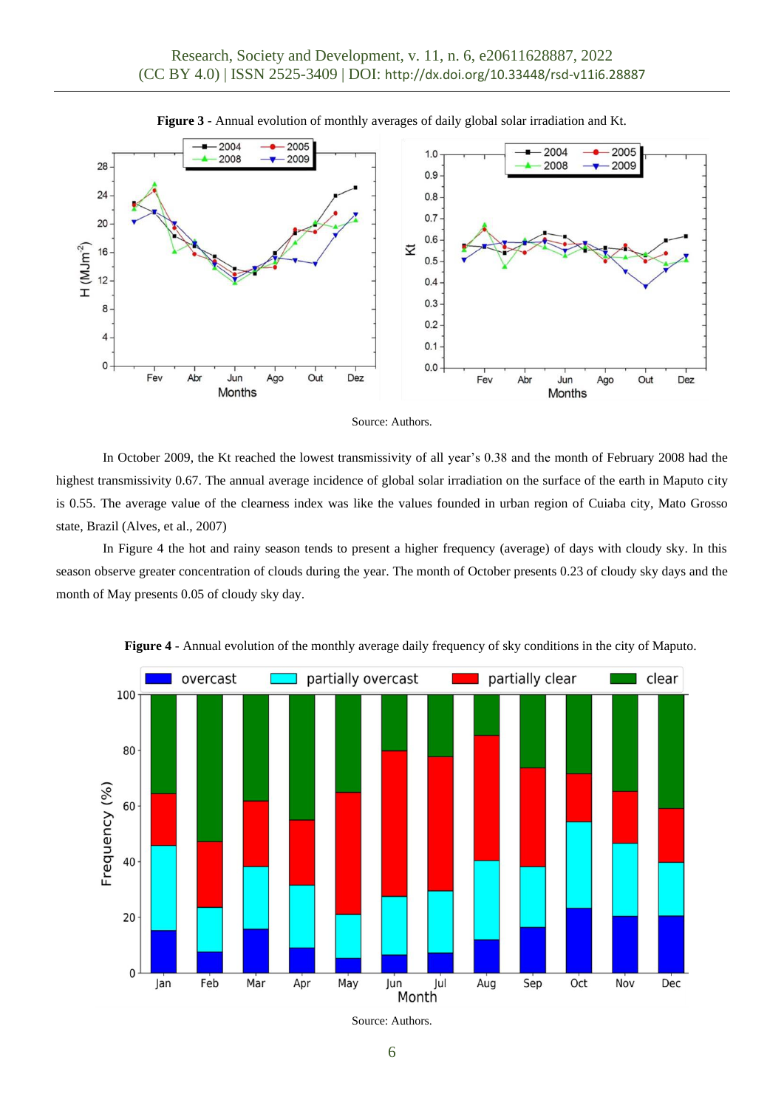





In October 2009, the Kt reached the lowest transmissivity of all year's 0.38 and the month of February 2008 had the highest transmissivity 0.67. The annual average incidence of global solar irradiation on the surface of the earth in Maputo city is 0.55. The average value of the clearness index was like the values founded in urban region of Cuiaba city, Mato Grosso state, Brazil (Alves, et al., 2007)

In Figure 4 the hot and rainy season tends to present a higher frequency (average) of days with cloudy sky. In this season observe greater concentration of clouds during the year. The month of October presents 0.23 of cloudy sky days and the month of May presents 0.05 of cloudy sky day.



**Figure 4** - Annual evolution of the monthly average daily frequency of sky conditions in the city of Maputo.

Source: Authors.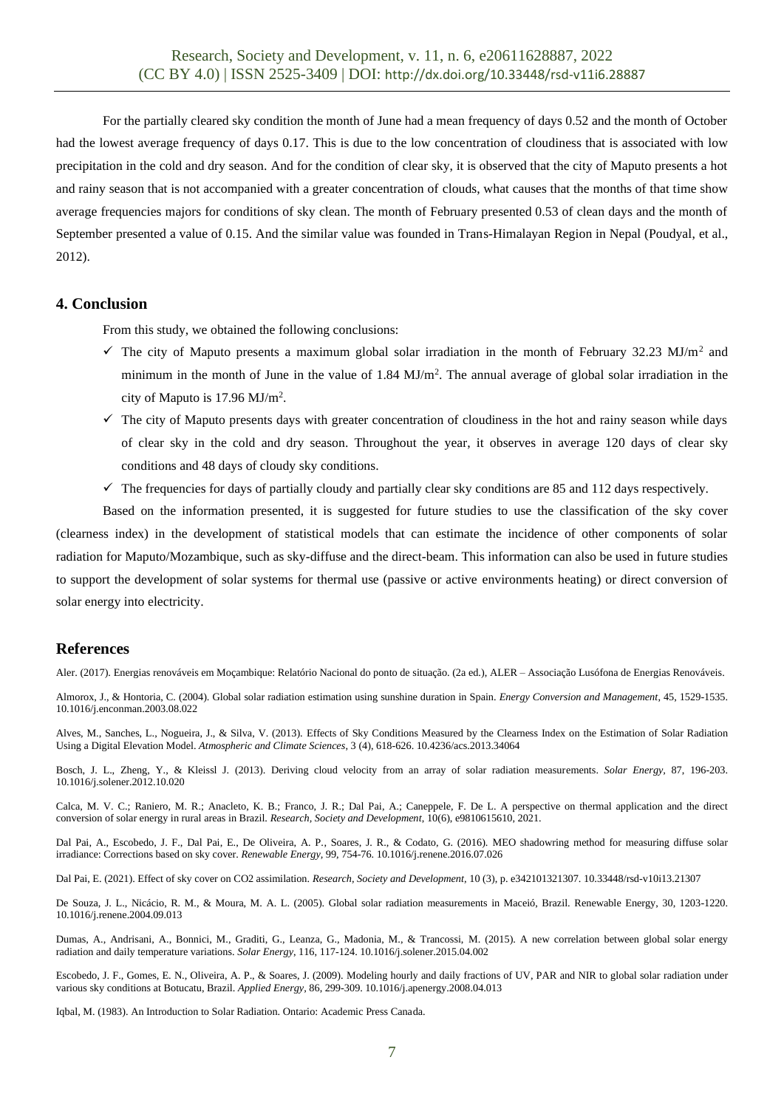For the partially cleared sky condition the month of June had a mean frequency of days 0.52 and the month of October had the lowest average frequency of days 0.17. This is due to the low concentration of cloudiness that is associated with low precipitation in the cold and dry season. And for the condition of clear sky, it is observed that the city of Maputo presents a hot and rainy season that is not accompanied with a greater concentration of clouds, what causes that the months of that time show average frequencies majors for conditions of sky clean. The month of February presented 0.53 of clean days and the month of September presented a value of 0.15. And the similar value was founded in Trans-Himalayan Region in Nepal (Poudyal, et al., 2012).

### **4. Conclusion**

From this study, we obtained the following conclusions:

- $\checkmark$  The city of Maputo presents a maximum global solar irradiation in the month of February 32.23 MJ/m<sup>2</sup> and minimum in the month of June in the value of  $1.84 \text{ MJ/m}^2$ . The annual average of global solar irradiation in the city of Maputo is 17.96 MJ/m<sup>2</sup> .
- $\checkmark$  The city of Maputo presents days with greater concentration of cloudiness in the hot and rainy season while days of clear sky in the cold and dry season. Throughout the year, it observes in average 120 days of clear sky conditions and 48 days of cloudy sky conditions.
- $\checkmark$  The frequencies for days of partially cloudy and partially clear sky conditions are 85 and 112 days respectively.

Based on the information presented, it is suggested for future studies to use the classification of the sky cover (clearness index) in the development of statistical models that can estimate the incidence of other components of solar radiation for Maputo/Mozambique, such as sky-diffuse and the direct-beam. This information can also be used in future studies to support the development of solar systems for thermal use (passive or active environments heating) or direct conversion of solar energy into electricity.

## **References**

Aler. (2017). Energias renováveis em Moçambique: Relatório Nacional do ponto de situação. (2a ed.), ALER – Associação Lusófona de Energias Renováveis.

Almorox, J., & Hontoria, C. (2004). Global solar radiation estimation using sunshine duration in Spain. *Energy Conversion and Management*, 45, 1529-1535. 10.1016/j.enconman.2003.08.022

Alves, M., Sanches, L., Nogueira, J., & Silva, V. (2013). Effects of Sky Conditions Measured by the Clearness Index on the Estimation of Solar Radiation Using a Digital Elevation Model. *Atmospheric and Climate Sciences*, 3 (4), 618-626. 10.4236/acs.2013.34064

Bosch, J. L., Zheng, Y., & Kleissl J. (2013). Deriving cloud velocity from an array of solar radiation measurements. *Solar Energy,* 87, 196-203. 10.1016/j.solener.2012.10.020

Calca, M. V. C.; Raniero, M. R.; Anacleto, K. B.; Franco, J. R.; Dal Pai, A.; Caneppele, F. De L. A perspective on thermal application and the direct conversion of solar energy in rural areas in Brazil. *Research, Society and Development*, 10(6), e9810615610, 2021.

Dal Pai, A., Escobedo, J. F., Dal Pai, E., De Oliveira, A. P., Soares, J. R., & Codato, G. (2016). MEO shadowring method for measuring diffuse solar irradiance: Corrections based on sky cover. *Renewable Energy,* 99, 754-76. 10.1016/j.renene.2016.07.026

Dal Pai, E. (2021). Effect of sky cover on CO2 assimilation. *Research, Society and Development,* 10 (3), p. e342101321307. 10.33448/rsd-v10i13.21307

De Souza, J. L., Nicácio, R. M., & Moura, M. A. L. (2005). Global solar radiation measurements in Maceió, Brazil. Renewable Energy, 30, 1203-1220. 10.1016/j.renene.2004.09.013

Dumas, A., Andrisani, A., Bonnici, M., Graditi, G., Leanza, G., Madonia, M., & Trancossi, M. (2015). A new correlation between global solar energy radiation and daily temperature variations. *Solar Energy*, 116, 117-124. 10.1016/j.solener.2015.04.002

Escobedo, J. F., Gomes, E. N., Oliveira, A. P., & Soares, J. (2009). Modeling hourly and daily fractions of UV, PAR and NIR to global solar radiation under various sky conditions at Botucatu, Brazil. *Applied Energy,* 86, 299-309. 10.1016/j.apenergy.2008.04.013

Iqbal, M. (1983). An Introduction to Solar Radiation. Ontario: Academic Press Canada.